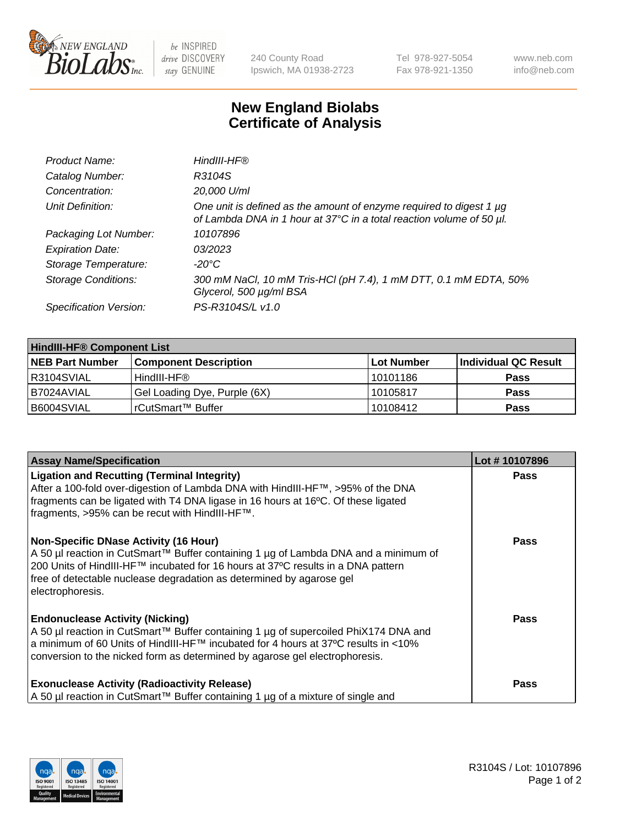

 $be$  INSPIRED drive DISCOVERY stay GENUINE

240 County Road Ipswich, MA 01938-2723 Tel 978-927-5054 Fax 978-921-1350 www.neb.com info@neb.com

## **New England Biolabs Certificate of Analysis**

| Product Name:              | HindIII-HF®                                                                                                                                 |
|----------------------------|---------------------------------------------------------------------------------------------------------------------------------------------|
| Catalog Number:            | R3104S                                                                                                                                      |
| Concentration:             | 20,000 U/ml                                                                                                                                 |
| Unit Definition:           | One unit is defined as the amount of enzyme required to digest 1 µg<br>of Lambda DNA in 1 hour at 37°C in a total reaction volume of 50 µl. |
| Packaging Lot Number:      | 10107896                                                                                                                                    |
| <b>Expiration Date:</b>    | 03/2023                                                                                                                                     |
| Storage Temperature:       | -20°C                                                                                                                                       |
| <b>Storage Conditions:</b> | 300 mM NaCl, 10 mM Tris-HCl (pH 7.4), 1 mM DTT, 0.1 mM EDTA, 50%<br>Glycerol, 500 µg/ml BSA                                                 |
| Specification Version:     | PS-R3104S/L v1.0                                                                                                                            |

| <b>HindIII-HF® Component List</b> |                              |            |                      |  |  |
|-----------------------------------|------------------------------|------------|----------------------|--|--|
| <b>NEB Part Number</b>            | <b>Component Description</b> | Lot Number | Individual QC Result |  |  |
| R3104SVIAL                        | HindIII-HF®                  | 10101186   | <b>Pass</b>          |  |  |
| I B7024AVIAL                      | Gel Loading Dye, Purple (6X) | 10105817   | <b>Pass</b>          |  |  |
| IB6004SVIAL                       | rCutSmart™ Buffer            | 10108412   | <b>Pass</b>          |  |  |

| <b>Assay Name/Specification</b>                                                                                                                                                                                                                                                                                       | Lot #10107896 |
|-----------------------------------------------------------------------------------------------------------------------------------------------------------------------------------------------------------------------------------------------------------------------------------------------------------------------|---------------|
| <b>Ligation and Recutting (Terminal Integrity)</b><br>After a 100-fold over-digestion of Lambda DNA with HindIII-HF™, >95% of the DNA<br>fragments can be ligated with T4 DNA ligase in 16 hours at 16°C. Of these ligated<br>fragments, >95% can be recut with HindIII-HF™.                                          | <b>Pass</b>   |
| <b>Non-Specific DNase Activity (16 Hour)</b><br>  A 50 µl reaction in CutSmart™ Buffer containing 1 µg of Lambda DNA and a minimum of<br>200 Units of HindIII-HF™ incubated for 16 hours at 37°C results in a DNA pattern<br>free of detectable nuclease degradation as determined by agarose gel<br>electrophoresis. | Pass          |
| <b>Endonuclease Activity (Nicking)</b><br>  A 50 µl reaction in CutSmart™ Buffer containing 1 µg of supercoiled PhiX174 DNA and<br> a minimum of 60 Units of HindIII-HF™ incubated for 4 hours at 37°C results in <10%<br>conversion to the nicked form as determined by agarose gel electrophoresis.                 | <b>Pass</b>   |
| <b>Exonuclease Activity (Radioactivity Release)</b><br>  A 50 µl reaction in CutSmart™ Buffer containing 1 µg of a mixture of single and                                                                                                                                                                              | <b>Pass</b>   |